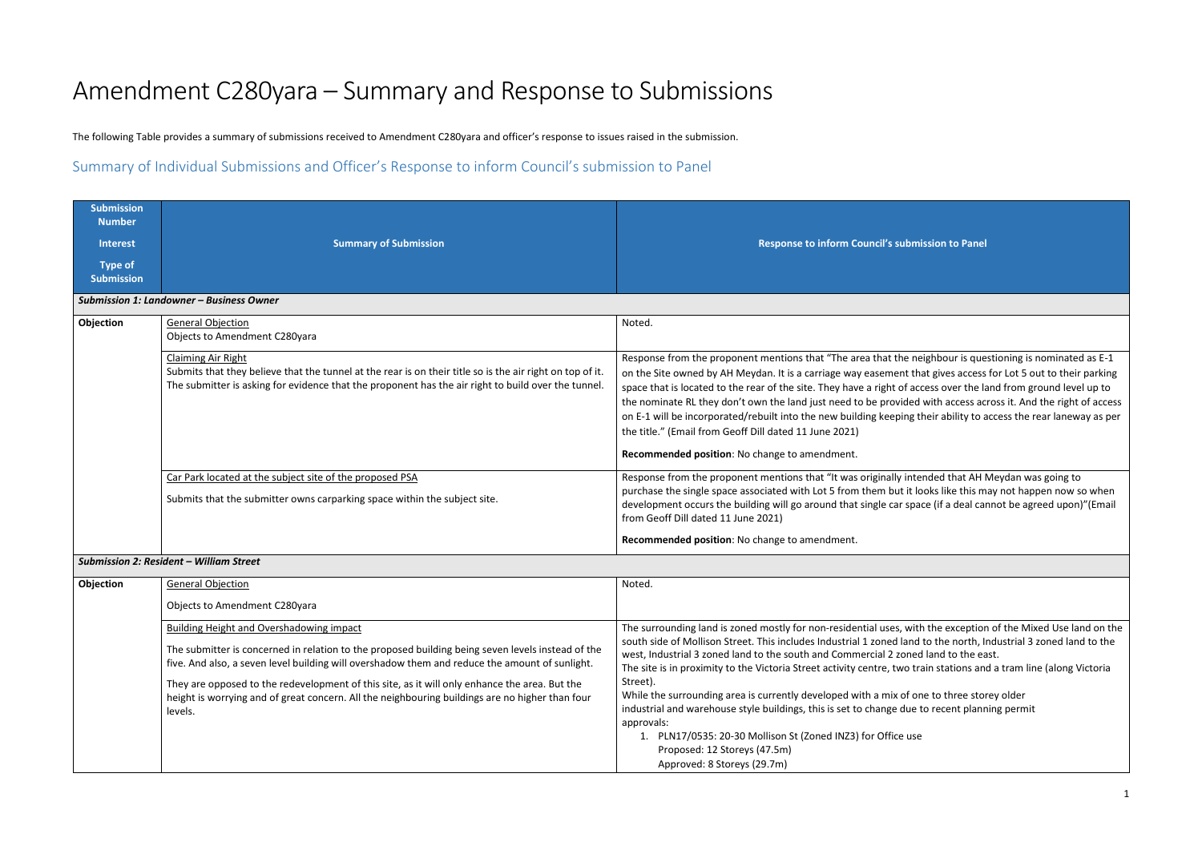# Amendment C280yara – Summary and Response to Submissions

The following Table provides a summary of submissions received to Amendment C280yara and officer's response to issues raised in the submission.

Summary of Individual Submissions and Officer's Response to inform Council's submission to Panel

| <b>Submission</b><br><b>Number</b><br><b>Interest</b> | <b>Summary of Submission</b>                                                                                                                                                                                                                                                                                                                                                                                                                                          | Response to inform Council's submission to Panel                                                                                                                                                                                                                                                                                                                                                                                                                                                                                                                                                                                                                                            |
|-------------------------------------------------------|-----------------------------------------------------------------------------------------------------------------------------------------------------------------------------------------------------------------------------------------------------------------------------------------------------------------------------------------------------------------------------------------------------------------------------------------------------------------------|---------------------------------------------------------------------------------------------------------------------------------------------------------------------------------------------------------------------------------------------------------------------------------------------------------------------------------------------------------------------------------------------------------------------------------------------------------------------------------------------------------------------------------------------------------------------------------------------------------------------------------------------------------------------------------------------|
| <b>Type of</b><br><b>Submission</b>                   |                                                                                                                                                                                                                                                                                                                                                                                                                                                                       |                                                                                                                                                                                                                                                                                                                                                                                                                                                                                                                                                                                                                                                                                             |
|                                                       | Submission 1: Landowner - Business Owner                                                                                                                                                                                                                                                                                                                                                                                                                              |                                                                                                                                                                                                                                                                                                                                                                                                                                                                                                                                                                                                                                                                                             |
| Objection                                             | <b>General Objection</b><br>Objects to Amendment C280yara                                                                                                                                                                                                                                                                                                                                                                                                             | Noted.                                                                                                                                                                                                                                                                                                                                                                                                                                                                                                                                                                                                                                                                                      |
|                                                       | <b>Claiming Air Right</b><br>Submits that they believe that the tunnel at the rear is on their title so is the air right on top of it.<br>The submitter is asking for evidence that the proponent has the air right to build over the tunnel.                                                                                                                                                                                                                         | Response from the proponent mentions that "The area that the neighbour is que<br>on the Site owned by AH Meydan. It is a carriage way easement that gives access<br>space that is located to the rear of the site. They have a right of access over the la<br>the nominate RL they don't own the land just need to be provided with access ad<br>on E-1 will be incorporated/rebuilt into the new building keeping their ability to a<br>the title." (Email from Geoff Dill dated 11 June 2021)<br>Recommended position: No change to amendment.                                                                                                                                            |
|                                                       | Car Park located at the subject site of the proposed PSA<br>Submits that the submitter owns carparking space within the subject site.                                                                                                                                                                                                                                                                                                                                 | Response from the proponent mentions that "It was originally intended that AH I<br>purchase the single space associated with Lot 5 from them but it looks like this m<br>development occurs the building will go around that single car space (if a deal ca<br>from Geoff Dill dated 11 June 2021)<br>Recommended position: No change to amendment.                                                                                                                                                                                                                                                                                                                                         |
|                                                       | <b>Submission 2: Resident - William Street</b>                                                                                                                                                                                                                                                                                                                                                                                                                        |                                                                                                                                                                                                                                                                                                                                                                                                                                                                                                                                                                                                                                                                                             |
| Objection                                             | <b>General Objection</b><br>Objects to Amendment C280yara                                                                                                                                                                                                                                                                                                                                                                                                             | Noted.                                                                                                                                                                                                                                                                                                                                                                                                                                                                                                                                                                                                                                                                                      |
|                                                       | <b>Building Height and Overshadowing impact</b><br>The submitter is concerned in relation to the proposed building being seven levels instead of the<br>five. And also, a seven level building will overshadow them and reduce the amount of sunlight.<br>They are opposed to the redevelopment of this site, as it will only enhance the area. But the<br>height is worrying and of great concern. All the neighbouring buildings are no higher than four<br>levels. | The surrounding land is zoned mostly for non-residential uses, with the exception<br>south side of Mollison Street. This includes Industrial 1 zoned land to the north, I<br>west, Industrial 3 zoned land to the south and Commercial 2 zoned land to the ea<br>The site is in proximity to the Victoria Street activity centre, two train stations an<br>Street).<br>While the surrounding area is currently developed with a mix of one to three sto<br>industrial and warehouse style buildings, this is set to change due to recent planr<br>approvals:<br>1. PLN17/0535: 20-30 Mollison St (Zoned INZ3) for Office use<br>Proposed: 12 Storeys (47.5m)<br>Approved: 8 Storeys (29.7m) |

e neighbour is questioning is nominated as E-1 It that gives access for Lot 5 out to their parking f access over the land from ground level up to ded with access across it. And the right of access ng their ability to access the rear laneway as per

intended that AH Meydan was going to it looks like this may not happen now so when space (if a deal cannot be agreed upon)"(Email

with the exception of the Mixed Use land on the and to the north, Industrial 3 zoned land to the oned land to the east. o train stations and a tram line (along Victoria

of one to three storey older lue to recent planning permit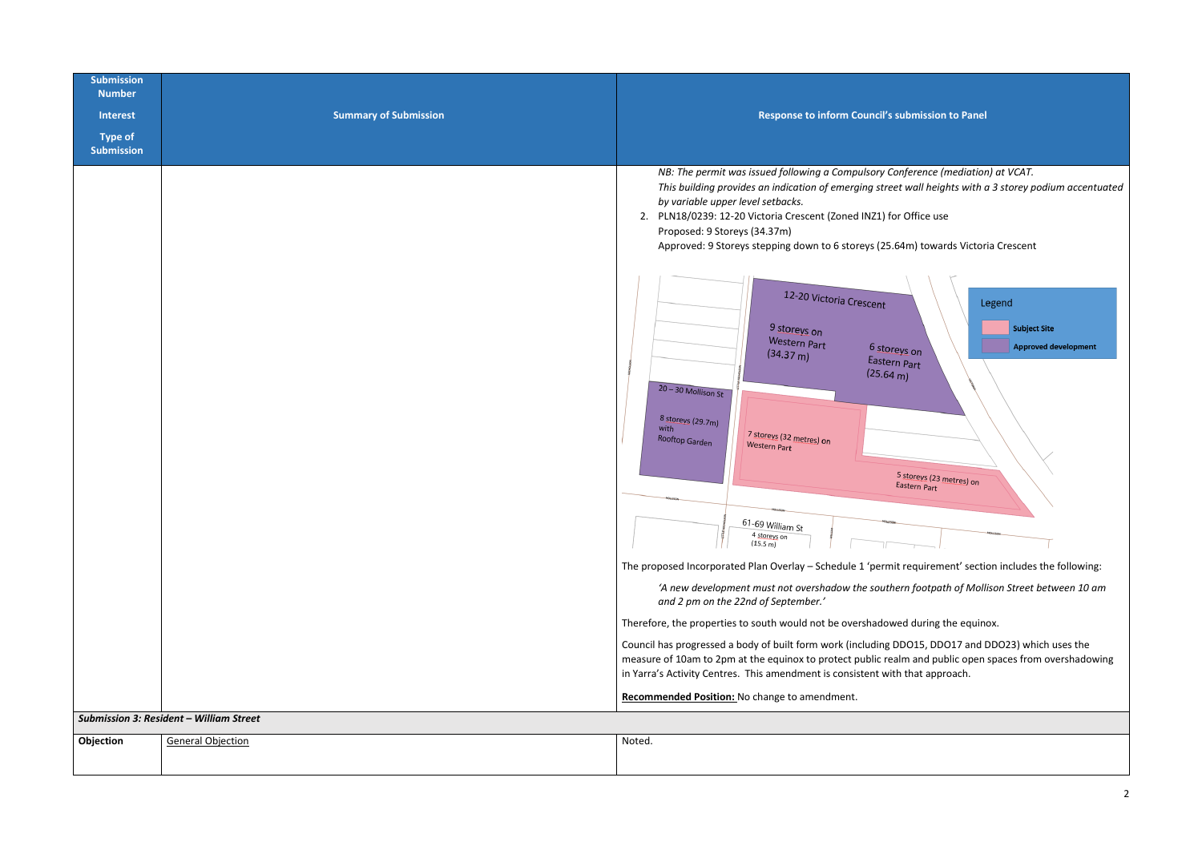| <b>Submission</b><br><b>Number</b><br><b>Interest</b><br><b>Type of</b><br><b>Submission</b> | <b>Summary of Submission</b>                   | Response to inform Council's sul                                                                                                                                                                                                                                                                                                                                                                                                                                                                                                                                                                                                                                                                                                                                                                                                                                                                                                                                                                                                                                                                                                   |
|----------------------------------------------------------------------------------------------|------------------------------------------------|------------------------------------------------------------------------------------------------------------------------------------------------------------------------------------------------------------------------------------------------------------------------------------------------------------------------------------------------------------------------------------------------------------------------------------------------------------------------------------------------------------------------------------------------------------------------------------------------------------------------------------------------------------------------------------------------------------------------------------------------------------------------------------------------------------------------------------------------------------------------------------------------------------------------------------------------------------------------------------------------------------------------------------------------------------------------------------------------------------------------------------|
|                                                                                              |                                                | NB: The permit was issued following a Compulsory Conf<br>This building provides an indication of emerging street v<br>by variable upper level setbacks.<br>2. PLN18/0239: 12-20 Victoria Crescent (Zoned INZ1) for C<br>Proposed: 9 Storeys (34.37m)<br>Approved: 9 Storeys stepping down to 6 storeys (25.64r<br>12-20 Victoria Crescent<br>9 storeys on<br><b>Western Part</b><br>6 storeys<br>(34.37 m)<br>Eastern P<br>(25.64 m)<br>$20 - 30$ Mollison St<br>8 storeys (29.7m)<br>with<br>7 storeys (32 metres) on<br>Rooftop Garden<br><b>Western Part</b><br>5 <sub>st</sub><br>East<br>61-69 William St<br>4 storeys on<br>(15.5 m)<br>The proposed Incorporated Plan Overlay - Schedule 1 'permit re<br>'A new development must not overshadow the southern<br>and 2 pm on the 22nd of September.'<br>Therefore, the properties to south would not be overshadowed<br>Council has progressed a body of built form work (including DD<br>measure of 10am to 2pm at the equinox to protect public realm<br>in Yarra's Activity Centres. This amendment is consistent with t<br>Recommended Position: No change to amendment. |
|                                                                                              | <b>Submission 3: Resident - William Street</b> |                                                                                                                                                                                                                                                                                                                                                                                                                                                                                                                                                                                                                                                                                                                                                                                                                                                                                                                                                                                                                                                                                                                                    |
| Objection                                                                                    | <b>General Objection</b>                       | Noted.                                                                                                                                                                                                                                                                                                                                                                                                                                                                                                                                                                                                                                                                                                                                                                                                                                                                                                                                                                                                                                                                                                                             |

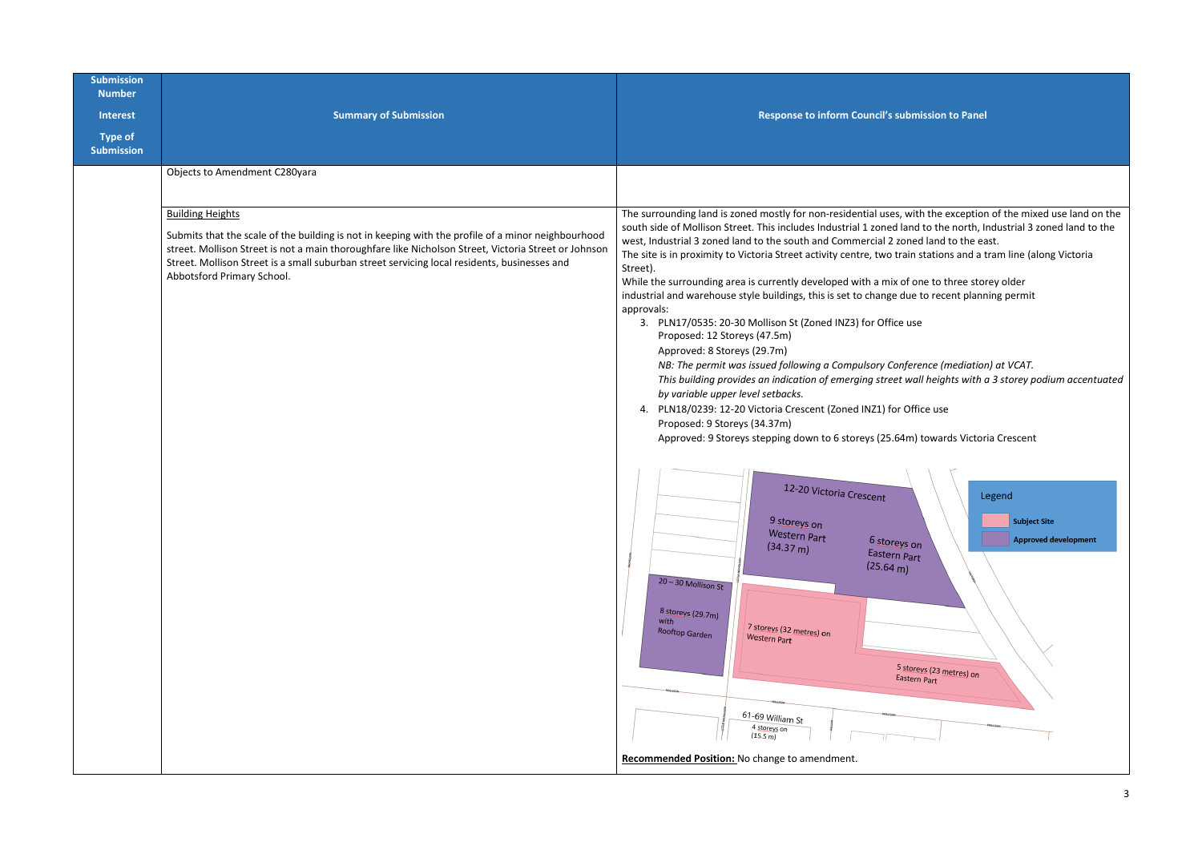| <b>Submission</b><br><b>Number</b>  |                                                                                                                                                                                                                                                                                                                                                                     |                                                                                                                                                                                                                                                                                                                                                                                                                                                                                                                                                                                                                                                                                                                                                                                                                                                                                                                                                                                                                                                                                                                                                                                                                                                                                                               |
|-------------------------------------|---------------------------------------------------------------------------------------------------------------------------------------------------------------------------------------------------------------------------------------------------------------------------------------------------------------------------------------------------------------------|---------------------------------------------------------------------------------------------------------------------------------------------------------------------------------------------------------------------------------------------------------------------------------------------------------------------------------------------------------------------------------------------------------------------------------------------------------------------------------------------------------------------------------------------------------------------------------------------------------------------------------------------------------------------------------------------------------------------------------------------------------------------------------------------------------------------------------------------------------------------------------------------------------------------------------------------------------------------------------------------------------------------------------------------------------------------------------------------------------------------------------------------------------------------------------------------------------------------------------------------------------------------------------------------------------------|
| <b>Interest</b>                     | <b>Summary of Submission</b>                                                                                                                                                                                                                                                                                                                                        | Response to inform Council's submi                                                                                                                                                                                                                                                                                                                                                                                                                                                                                                                                                                                                                                                                                                                                                                                                                                                                                                                                                                                                                                                                                                                                                                                                                                                                            |
| <b>Type of</b><br><b>Submission</b> |                                                                                                                                                                                                                                                                                                                                                                     |                                                                                                                                                                                                                                                                                                                                                                                                                                                                                                                                                                                                                                                                                                                                                                                                                                                                                                                                                                                                                                                                                                                                                                                                                                                                                                               |
|                                     | Objects to Amendment C280yara                                                                                                                                                                                                                                                                                                                                       |                                                                                                                                                                                                                                                                                                                                                                                                                                                                                                                                                                                                                                                                                                                                                                                                                                                                                                                                                                                                                                                                                                                                                                                                                                                                                                               |
|                                     | <b>Building Heights</b><br>Submits that the scale of the building is not in keeping with the profile of a minor neighbourhood<br>street. Mollison Street is not a main thoroughfare like Nicholson Street, Victoria Street or Johnson<br>Street. Mollison Street is a small suburban street servicing local residents, businesses and<br>Abbotsford Primary School. | The surrounding land is zoned mostly for non-residential uses, with<br>south side of Mollison Street. This includes Industrial 1 zoned land<br>west, Industrial 3 zoned land to the south and Commercial 2 zoned<br>The site is in proximity to Victoria Street activity centre, two train s<br>Street).<br>While the surrounding area is currently developed with a mix of or<br>industrial and warehouse style buildings, this is set to change due t<br>approvals:<br>3. PLN17/0535: 20-30 Mollison St (Zoned INZ3) for Office use<br>Proposed: 12 Storeys (47.5m)<br>Approved: 8 Storeys (29.7m)<br>NB: The permit was issued following a Compulsory Confere<br>This building provides an indication of emerging street wal<br>by variable upper level setbacks.<br>4. PLN18/0239: 12-20 Victoria Crescent (Zoned INZ1) for Offi<br>Proposed: 9 Storeys (34.37m)<br>Approved: 9 Storeys stepping down to 6 storeys (25.64m)<br>12-20 Victoria Crescent<br>9 storeys on<br><b>Western Part</b><br>6 storeys on<br>(34.37 m)<br>Eastern Part<br>(25.64 m)<br>$20 - 30$ Mollison St<br>8 storeys (29.7m)<br>with<br>7 storeys (32 metres) on<br>Rooftop Garden<br><b>Western Part</b><br>5 store<br>Eastern<br>61-69 William St<br>4 storeys on<br>(15.5 m)<br>Recommended Position: No change to amendment. |

## **Sumission to Panel**

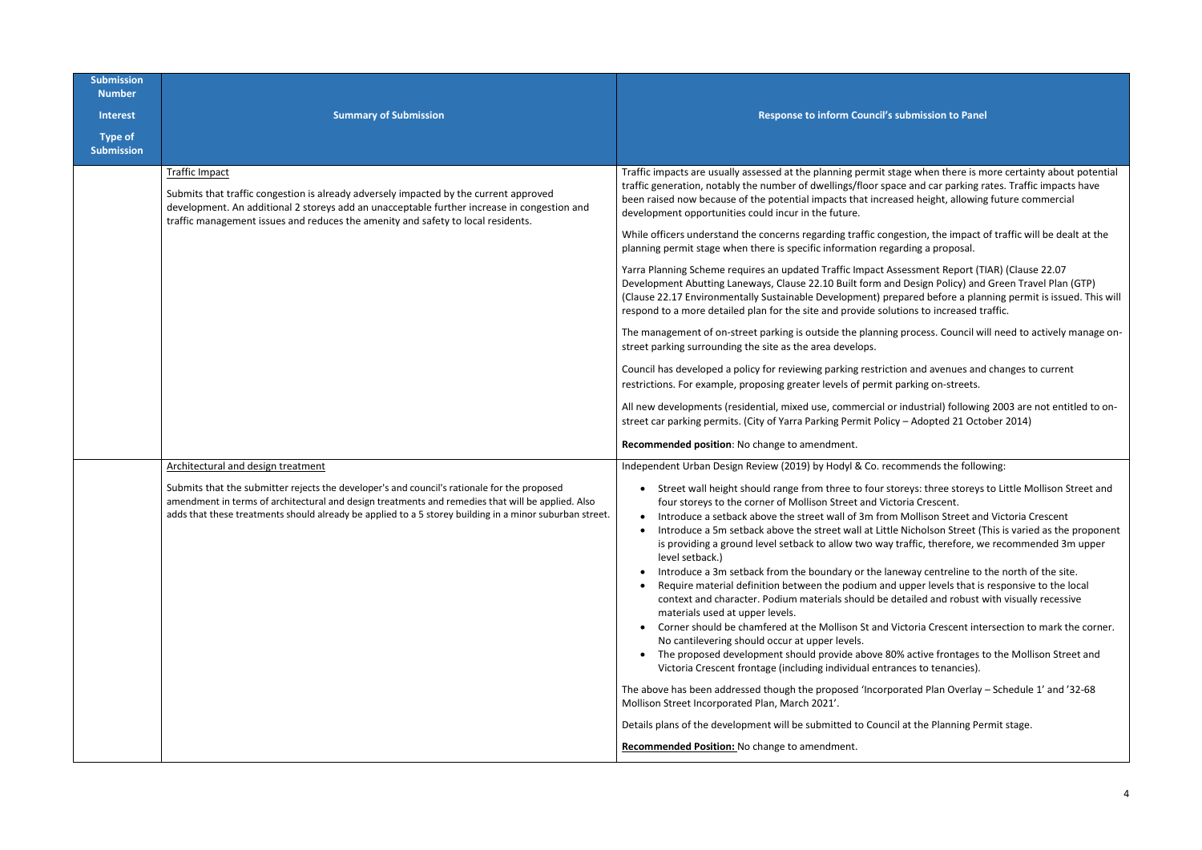| <b>Submission</b><br><b>Number</b> |                                                                                                                                                                                                                                                                                                                                                   |                                                                                                                                                                                                                                                                                                                                                                                                                                                                                                                                                                                                                                                                                                                                                                                                                                                                                                                                                                                                                                                                                                                                             |
|------------------------------------|---------------------------------------------------------------------------------------------------------------------------------------------------------------------------------------------------------------------------------------------------------------------------------------------------------------------------------------------------|---------------------------------------------------------------------------------------------------------------------------------------------------------------------------------------------------------------------------------------------------------------------------------------------------------------------------------------------------------------------------------------------------------------------------------------------------------------------------------------------------------------------------------------------------------------------------------------------------------------------------------------------------------------------------------------------------------------------------------------------------------------------------------------------------------------------------------------------------------------------------------------------------------------------------------------------------------------------------------------------------------------------------------------------------------------------------------------------------------------------------------------------|
| <b>Interest</b><br><b>Type of</b>  | <b>Summary of Submission</b>                                                                                                                                                                                                                                                                                                                      | <b>Response to inform Council's sub</b>                                                                                                                                                                                                                                                                                                                                                                                                                                                                                                                                                                                                                                                                                                                                                                                                                                                                                                                                                                                                                                                                                                     |
| <b>Submission</b>                  |                                                                                                                                                                                                                                                                                                                                                   |                                                                                                                                                                                                                                                                                                                                                                                                                                                                                                                                                                                                                                                                                                                                                                                                                                                                                                                                                                                                                                                                                                                                             |
|                                    | <b>Traffic Impact</b><br>Submits that traffic congestion is already adversely impacted by the current approved<br>development. An additional 2 storeys add an unacceptable further increase in congestion and<br>traffic management issues and reduces the amenity and safety to local residents.                                                 | Traffic impacts are usually assessed at the planning permit stage<br>traffic generation, notably the number of dwellings/floor space<br>been raised now because of the potential impacts that increase<br>development opportunities could incur in the future.<br>While officers understand the concerns regarding traffic conges<br>planning permit stage when there is specific information regard<br>Yarra Planning Scheme requires an updated Traffic Impact Asses<br>Development Abutting Laneways, Clause 22.10 Built form and D<br>(Clause 22.17 Environmentally Sustainable Development) prepa<br>respond to a more detailed plan for the site and provide solutio<br>The management of on-street parking is outside the planning pr<br>street parking surrounding the site as the area develops.<br>Council has developed a policy for reviewing parking restriction<br>restrictions. For example, proposing greater levels of permit par<br>All new developments (residential, mixed use, commercial or in<br>street car parking permits. (City of Yarra Parking Permit Policy -<br>Recommended position: No change to amendment. |
|                                    | Architectural and design treatment<br>Submits that the submitter rejects the developer's and council's rationale for the proposed<br>amendment in terms of architectural and design treatments and remedies that will be applied. Also<br>adds that these treatments should already be applied to a 5 storey building in a minor suburban street. | Independent Urban Design Review (2019) by Hodyl & Co. recom<br>Street wall height should range from three to four store<br>four storeys to the corner of Mollison Street and Victori<br>Introduce a setback above the street wall of 3m from M<br>$\bullet$<br>Introduce a 5m setback above the street wall at Little N<br>is providing a ground level setback to allow two way tra<br>level setback.)<br>Introduce a 3m setback from the boundary or the lanew<br>Require material definition between the podium and up<br>context and character. Podium materials should be deta<br>materials used at upper levels.<br>Corner should be chamfered at the Mollison St and Vict<br>No cantilevering should occur at upper levels.<br>The proposed development should provide above 80%<br>Victoria Crescent frontage (including individual entrance<br>The above has been addressed though the proposed 'Incorpora<br>Mollison Street Incorporated Plan, March 2021'.<br>Details plans of the development will be submitted to Council a<br>Recommended Position: No change to amendment.                                                   |

#### **Sumission to Panel**

ge when there is more certainty about potential and car parking rates. Traffic impacts have ed height, allowing future commercial

stion, the impact of traffic will be dealt at the plang a proposal.

Sament Report (TIAR) (Clause 22.07 Design Policy) and Green Travel Plan (GTP) ared before a planning permit is issued. This will ons to increased traffic.

rocess. Council will need to actively manage on-

and avenues and changes to current rking on-streets.

dustrial) following 2003 are not entitled to on-- Adopted 21 October 2014)

Indends the following:

eys: three storeys to Little Mollison Street and ia Crescent.

1 ollison Street and Victoria Crescent

licholson Street (This is varied as the proponent affic, therefore, we recommended 3m upper

vay centreline to the north of the site. oper levels that is responsive to the local ailed and robust with visually recessive

toria Crescent intersection to mark the corner.

active frontages to the Mollison Street and es to tenancies).

Ited Plan Overlay – Schedule 1' and '32-68

It the Planning Permit stage.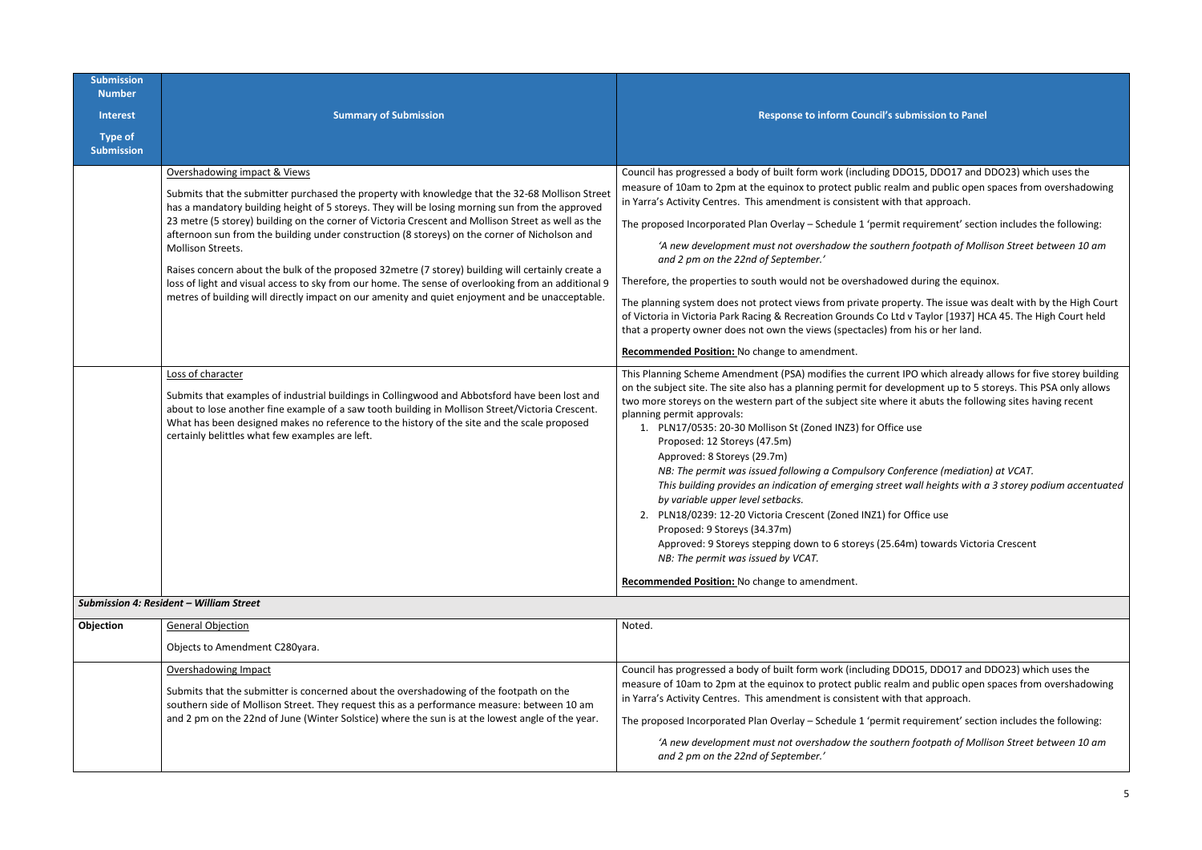*'A new development must not overshadow the southern footpath of Mollison Street between 10 am* 

I during the equinox.

erty. The issue was dealt with by the High Court  $\overline{a}$  victor  $\overline{a}$  (1937] HCA 45. The High Court held m his or her land.

PO which already allows for five storey building lopment up to 5 storeys. This PSA only allows the following sites having recent it abuts the following sites having recent

| <b>Submission</b><br><b>Number</b>  |                                                                                                                                                                                                                                                                                                                                                                                                                                                                                                                                                                                                                                                                                                                                                                                                    |                                                                                                                                                                                                                                                                                                                                                                                                                                                                                                                                                                                                                                                                                                                                                                                        |
|-------------------------------------|----------------------------------------------------------------------------------------------------------------------------------------------------------------------------------------------------------------------------------------------------------------------------------------------------------------------------------------------------------------------------------------------------------------------------------------------------------------------------------------------------------------------------------------------------------------------------------------------------------------------------------------------------------------------------------------------------------------------------------------------------------------------------------------------------|----------------------------------------------------------------------------------------------------------------------------------------------------------------------------------------------------------------------------------------------------------------------------------------------------------------------------------------------------------------------------------------------------------------------------------------------------------------------------------------------------------------------------------------------------------------------------------------------------------------------------------------------------------------------------------------------------------------------------------------------------------------------------------------|
| <b>Interest</b>                     | <b>Summary of Submission</b>                                                                                                                                                                                                                                                                                                                                                                                                                                                                                                                                                                                                                                                                                                                                                                       | Response to inform Council's submi                                                                                                                                                                                                                                                                                                                                                                                                                                                                                                                                                                                                                                                                                                                                                     |
| <b>Type of</b><br><b>Submission</b> |                                                                                                                                                                                                                                                                                                                                                                                                                                                                                                                                                                                                                                                                                                                                                                                                    |                                                                                                                                                                                                                                                                                                                                                                                                                                                                                                                                                                                                                                                                                                                                                                                        |
|                                     | Overshadowing impact & Views<br>Submits that the submitter purchased the property with knowledge that the 32-68 Mollison Street<br>has a mandatory building height of 5 storeys. They will be losing morning sun from the approved<br>23 metre (5 storey) building on the corner of Victoria Crescent and Mollison Street as well as the<br>afternoon sun from the building under construction (8 storeys) on the corner of Nicholson and<br>Mollison Streets.<br>Raises concern about the bulk of the proposed 32metre (7 storey) building will certainly create a<br>loss of light and visual access to sky from our home. The sense of overlooking from an additional 9<br>metres of building will directly impact on our amenity and quiet enjoyment and be unacceptable.<br>Loss of character | Council has progressed a body of built form work (including DDO1!<br>measure of 10am to 2pm at the equinox to protect public realm ar<br>in Yarra's Activity Centres. This amendment is consistent with that<br>The proposed Incorporated Plan Overlay - Schedule 1 'permit requ<br>'A new development must not overshadow the southern fo<br>and 2 pm on the 22nd of September.'<br>Therefore, the properties to south would not be overshadowed du<br>The planning system does not protect views from private property<br>of Victoria in Victoria Park Racing & Recreation Grounds Co Ltd v T<br>that a property owner does not own the views (spectacles) from hi<br>Recommended Position: No change to amendment.<br>This Planning Scheme Amendment (PSA) modifies the current IPO |
|                                     | Submits that examples of industrial buildings in Collingwood and Abbotsford have been lost and<br>about to lose another fine example of a saw tooth building in Mollison Street/Victoria Crescent.<br>What has been designed makes no reference to the history of the site and the scale proposed<br>certainly belittles what few examples are left.                                                                                                                                                                                                                                                                                                                                                                                                                                               | on the subject site. The site also has a planning permit for develop<br>two more storeys on the western part of the subject site where it a<br>planning permit approvals:<br>1. PLN17/0535: 20-30 Mollison St (Zoned INZ3) for Office use<br>Proposed: 12 Storeys (47.5m)<br>Approved: 8 Storeys (29.7m)<br>NB: The permit was issued following a Compulsory Confere<br>This building provides an indication of emerging street wal<br>by variable upper level setbacks.<br>2. PLN18/0239: 12-20 Victoria Crescent (Zoned INZ1) for Offi<br>Proposed: 9 Storeys (34.37m)<br>Approved: 9 Storeys stepping down to 6 storeys (25.64m)<br>NB: The permit was issued by VCAT.<br>Recommended Position: No change to amendment.                                                             |
|                                     | <b>Submission 4: Resident - William Street</b>                                                                                                                                                                                                                                                                                                                                                                                                                                                                                                                                                                                                                                                                                                                                                     |                                                                                                                                                                                                                                                                                                                                                                                                                                                                                                                                                                                                                                                                                                                                                                                        |
| Objection                           | <b>General Objection</b>                                                                                                                                                                                                                                                                                                                                                                                                                                                                                                                                                                                                                                                                                                                                                                           | Noted.                                                                                                                                                                                                                                                                                                                                                                                                                                                                                                                                                                                                                                                                                                                                                                                 |
|                                     | Objects to Amendment C280yara.                                                                                                                                                                                                                                                                                                                                                                                                                                                                                                                                                                                                                                                                                                                                                                     |                                                                                                                                                                                                                                                                                                                                                                                                                                                                                                                                                                                                                                                                                                                                                                                        |
|                                     | Overshadowing Impact<br>Submits that the submitter is concerned about the overshadowing of the footpath on the<br>southern side of Mollison Street. They request this as a performance measure: between 10 am<br>and 2 pm on the 22nd of June (Winter Solstice) where the sun is at the lowest angle of the year.                                                                                                                                                                                                                                                                                                                                                                                                                                                                                  | Council has progressed a body of built form work (including DDO1!<br>measure of 10am to 2pm at the equinox to protect public realm ar<br>in Yarra's Activity Centres. This amendment is consistent with that<br>The proposed Incorporated Plan Overlay - Schedule 1 'permit requ<br>'A new development must not overshadow the southern fo<br>and 2 pm on the 22nd of September.'                                                                                                                                                                                                                                                                                                                                                                                                      |

### **Sumission to Panel**

OO15, DDO17 and DDO23) which uses the n and public open spaces from overshadowing hat approach.

equirement' section includes the following:

*NB: The permit was issued following a Compulsory Conference (mediation) at VCAT. This building provides an indication of emerging street wall heights with a 3 storey podium accentuated* 

2. Pulice use

Im) towards Victoria Crescent

OO15, DDO17 and DDO23) which uses the nand public open spaces from overshadowing hat approach.

equirement' section includes the following:

*'A new development must not overshadow the southern footpath of Mollison Street between 10 am*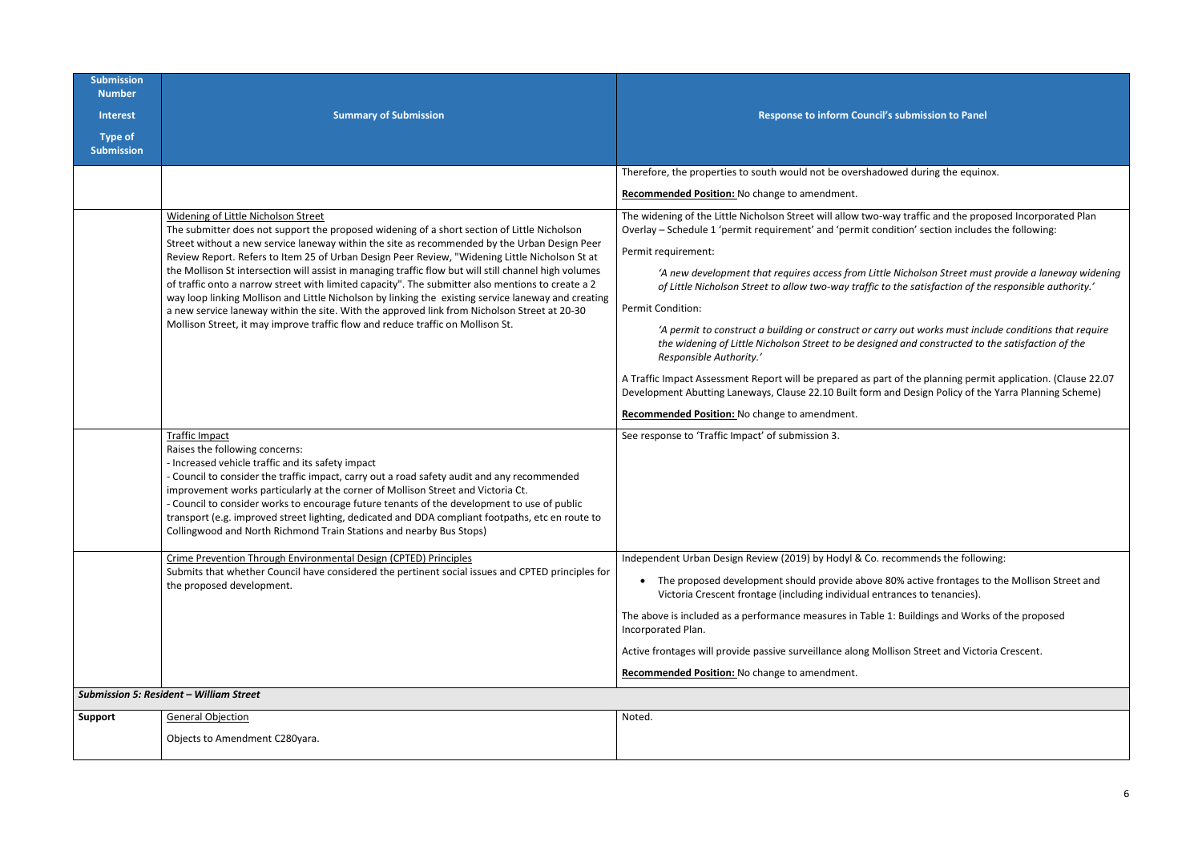| <b>Submission</b><br><b>Number</b>  |                                                                                                                                                                                                                                                                                                                                                                                                                                                                                                                                                                           |                                                                                                                                                                                                                                        |
|-------------------------------------|---------------------------------------------------------------------------------------------------------------------------------------------------------------------------------------------------------------------------------------------------------------------------------------------------------------------------------------------------------------------------------------------------------------------------------------------------------------------------------------------------------------------------------------------------------------------------|----------------------------------------------------------------------------------------------------------------------------------------------------------------------------------------------------------------------------------------|
| <b>Interest</b>                     | <b>Summary of Submission</b>                                                                                                                                                                                                                                                                                                                                                                                                                                                                                                                                              | Response to inform Council's submission to Panel                                                                                                                                                                                       |
| <b>Type of</b><br><b>Submission</b> |                                                                                                                                                                                                                                                                                                                                                                                                                                                                                                                                                                           |                                                                                                                                                                                                                                        |
|                                     |                                                                                                                                                                                                                                                                                                                                                                                                                                                                                                                                                                           | Therefore, the properties to south would not be overshadowed during the equinox.                                                                                                                                                       |
|                                     |                                                                                                                                                                                                                                                                                                                                                                                                                                                                                                                                                                           | Recommended Position: No change to amendment.                                                                                                                                                                                          |
|                                     | Widening of Little Nicholson Street<br>The submitter does not support the proposed widening of a short section of Little Nicholson                                                                                                                                                                                                                                                                                                                                                                                                                                        | The widening of the Little Nicholson Street will allow two-way traffic and the proposed Incorporated Plan<br>Overlay - Schedule 1 'permit requirement' and 'permit condition' section includes the following:                          |
|                                     | Street without a new service laneway within the site as recommended by the Urban Design Peer<br>Review Report. Refers to Item 25 of Urban Design Peer Review, "Widening Little Nicholson St at                                                                                                                                                                                                                                                                                                                                                                            | Permit requirement:                                                                                                                                                                                                                    |
|                                     | the Mollison St intersection will assist in managing traffic flow but will still channel high volumes<br>of traffic onto a narrow street with limited capacity". The submitter also mentions to create a 2<br>way loop linking Mollison and Little Nicholson by linking the existing service laneway and creating                                                                                                                                                                                                                                                         | 'A new development that requires access from Little Nicholson Street must provide a laneway widening<br>of Little Nicholson Street to allow two-way traffic to the satisfaction of the responsible authority.'                         |
|                                     | a new service laneway within the site. With the approved link from Nicholson Street at 20-30                                                                                                                                                                                                                                                                                                                                                                                                                                                                              | Permit Condition:                                                                                                                                                                                                                      |
|                                     | Mollison Street, it may improve traffic flow and reduce traffic on Mollison St.                                                                                                                                                                                                                                                                                                                                                                                                                                                                                           | 'A permit to construct a building or construct or carry out works must include conditions that require<br>the widening of Little Nicholson Street to be designed and constructed to the satisfaction of the<br>Responsible Authority.' |
|                                     |                                                                                                                                                                                                                                                                                                                                                                                                                                                                                                                                                                           | A Traffic Impact Assessment Report will be prepared as part of the planning permit application. (Clause 22.07<br>Development Abutting Laneways, Clause 22.10 Built form and Design Policy of the Yarra Planning Scheme)                |
|                                     |                                                                                                                                                                                                                                                                                                                                                                                                                                                                                                                                                                           | Recommended Position: No change to amendment.                                                                                                                                                                                          |
|                                     | <b>Traffic Impact</b><br>Raises the following concerns:<br>- Increased vehicle traffic and its safety impact<br>- Council to consider the traffic impact, carry out a road safety audit and any recommended<br>improvement works particularly at the corner of Mollison Street and Victoria Ct.<br>- Council to consider works to encourage future tenants of the development to use of public<br>transport (e.g. improved street lighting, dedicated and DDA compliant footpaths, etc en route to<br>Collingwood and North Richmond Train Stations and nearby Bus Stops) | See response to 'Traffic Impact' of submission 3.                                                                                                                                                                                      |
|                                     | Crime Prevention Through Environmental Design (CPTED) Principles                                                                                                                                                                                                                                                                                                                                                                                                                                                                                                          | Independent Urban Design Review (2019) by Hodyl & Co. recommends the following:                                                                                                                                                        |
|                                     | Submits that whether Council have considered the pertinent social issues and CPTED principles for<br>the proposed development.                                                                                                                                                                                                                                                                                                                                                                                                                                            | The proposed development should provide above 80% active frontages to the Mollison Street and<br>Victoria Crescent frontage (including individual entrances to tenancies).                                                             |
|                                     |                                                                                                                                                                                                                                                                                                                                                                                                                                                                                                                                                                           | The above is included as a performance measures in Table 1: Buildings and Works of the proposed<br>Incorporated Plan.                                                                                                                  |
|                                     |                                                                                                                                                                                                                                                                                                                                                                                                                                                                                                                                                                           | Active frontages will provide passive surveillance along Mollison Street and Victoria Crescent.                                                                                                                                        |
|                                     |                                                                                                                                                                                                                                                                                                                                                                                                                                                                                                                                                                           | Recommended Position: No change to amendment.                                                                                                                                                                                          |
|                                     | <b>Submission 5: Resident - William Street</b>                                                                                                                                                                                                                                                                                                                                                                                                                                                                                                                            |                                                                                                                                                                                                                                        |
| <b>Support</b>                      | <b>General Objection</b>                                                                                                                                                                                                                                                                                                                                                                                                                                                                                                                                                  | Noted.                                                                                                                                                                                                                                 |
|                                     | Objects to Amendment C280yara.                                                                                                                                                                                                                                                                                                                                                                                                                                                                                                                                            |                                                                                                                                                                                                                                        |

| <b>omission to Panel</b>                                                                     |
|----------------------------------------------------------------------------------------------|
|                                                                                              |
| during the equinox.                                                                          |
|                                                                                              |
| raffic and the proposed Incorporated Plan<br>n' section includes the following:              |
| holson Street must provide a laneway widening<br>satisfaction of the responsible authority.' |
| it works must include conditions that require<br>nd constructed to the satisfaction of the   |
| the planning permit application. (Clause 22.07<br>esign Policy of the Yarra Planning Scheme) |
|                                                                                              |
|                                                                                              |
|                                                                                              |
|                                                                                              |
| mends the following:                                                                         |
| active frontages to the Mollison Street and<br>es to tenancies).                             |
| ildings and Works of the proposed                                                            |
| I Street and Victoria Crescent.                                                              |
|                                                                                              |
|                                                                                              |
|                                                                                              |
|                                                                                              |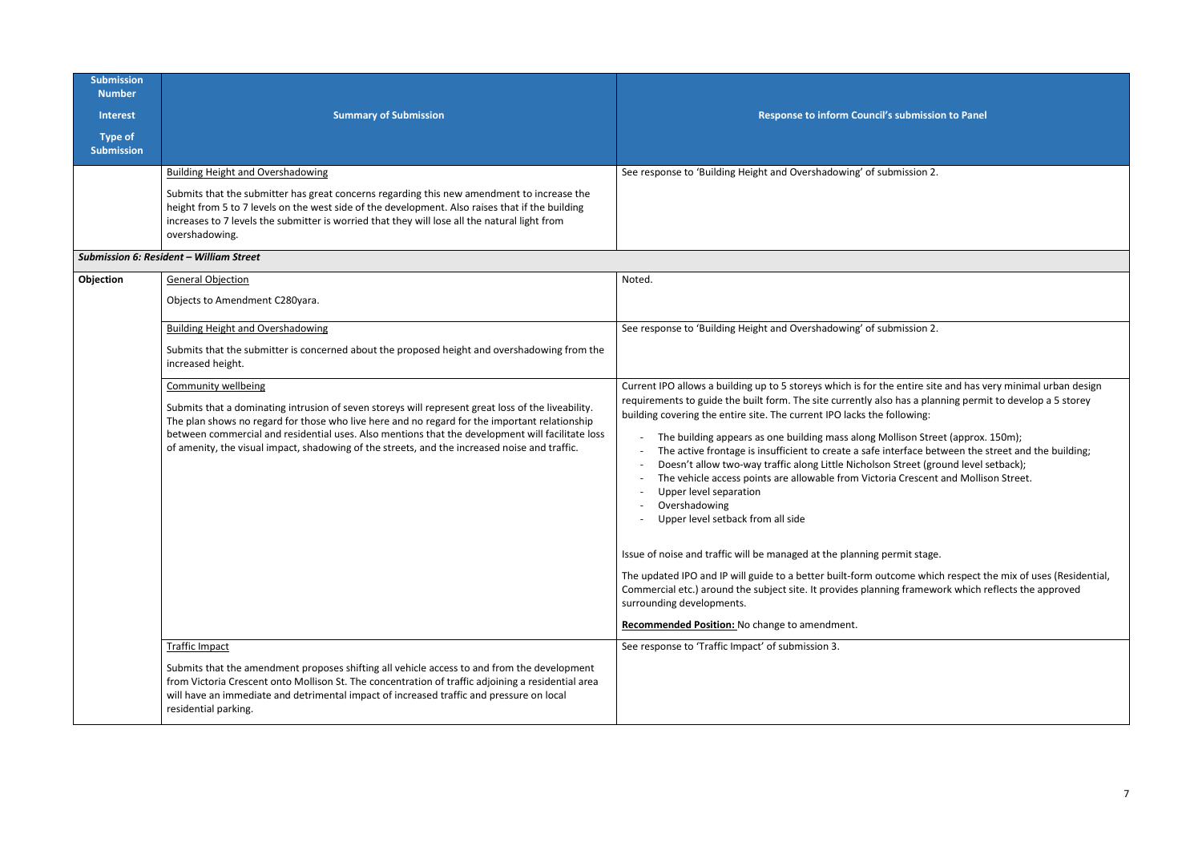| <b>Submission</b><br><b>Number</b><br><b>Interest</b><br><b>Type of</b><br><b>Submission</b> | <b>Summary of Submission</b>                                                                                                                                                                                                                                                                                                                                                                                                           | Response to inform Council's submission to Panel                                                                                                                                                                                                                                                                                                                                                                                                                                                                                                                                                                                                                                                                                                                                                                                                                                                                                                                                               |
|----------------------------------------------------------------------------------------------|----------------------------------------------------------------------------------------------------------------------------------------------------------------------------------------------------------------------------------------------------------------------------------------------------------------------------------------------------------------------------------------------------------------------------------------|------------------------------------------------------------------------------------------------------------------------------------------------------------------------------------------------------------------------------------------------------------------------------------------------------------------------------------------------------------------------------------------------------------------------------------------------------------------------------------------------------------------------------------------------------------------------------------------------------------------------------------------------------------------------------------------------------------------------------------------------------------------------------------------------------------------------------------------------------------------------------------------------------------------------------------------------------------------------------------------------|
|                                                                                              | <b>Building Height and Overshadowing</b><br>Submits that the submitter has great concerns regarding this new amendment to increase the<br>height from 5 to 7 levels on the west side of the development. Also raises that if the building<br>increases to 7 levels the submitter is worried that they will lose all the natural light from<br>overshadowing.                                                                           | See response to 'Building Height and Overshadowing' of submission 2.                                                                                                                                                                                                                                                                                                                                                                                                                                                                                                                                                                                                                                                                                                                                                                                                                                                                                                                           |
|                                                                                              | <b>Submission 6: Resident - William Street</b>                                                                                                                                                                                                                                                                                                                                                                                         |                                                                                                                                                                                                                                                                                                                                                                                                                                                                                                                                                                                                                                                                                                                                                                                                                                                                                                                                                                                                |
| Objection                                                                                    | <b>General Objection</b><br>Objects to Amendment C280yara.                                                                                                                                                                                                                                                                                                                                                                             | Noted.                                                                                                                                                                                                                                                                                                                                                                                                                                                                                                                                                                                                                                                                                                                                                                                                                                                                                                                                                                                         |
|                                                                                              | <b>Building Height and Overshadowing</b><br>Submits that the submitter is concerned about the proposed height and overshadowing from the<br>increased height.                                                                                                                                                                                                                                                                          | See response to 'Building Height and Overshadowing' of submission 2.                                                                                                                                                                                                                                                                                                                                                                                                                                                                                                                                                                                                                                                                                                                                                                                                                                                                                                                           |
|                                                                                              | <b>Community wellbeing</b><br>Submits that a dominating intrusion of seven storeys will represent great loss of the liveability.<br>The plan shows no regard for those who live here and no regard for the important relationship<br>between commercial and residential uses. Also mentions that the development will facilitate loss<br>of amenity, the visual impact, shadowing of the streets, and the increased noise and traffic. | Current IPO allows a building up to 5 storeys which is for the entire site and has v<br>requirements to guide the built form. The site currently also has a planning perm<br>building covering the entire site. The current IPO lacks the following:<br>The building appears as one building mass along Mollison Street (approx.<br>The active frontage is insufficient to create a safe interface between the s<br>Doesn't allow two-way traffic along Little Nicholson Street (ground level s<br>The vehicle access points are allowable from Victoria Crescent and Mollis<br>Upper level separation<br>Overshadowing<br>Upper level setback from all side<br>Issue of noise and traffic will be managed at the planning permit stage.<br>The updated IPO and IP will guide to a better built-form outcome which respect t<br>Commercial etc.) around the subject site. It provides planning framework which r<br>surrounding developments.<br>Recommended Position: No change to amendment. |
|                                                                                              | <b>Traffic Impact</b><br>Submits that the amendment proposes shifting all vehicle access to and from the development<br>from Victoria Crescent onto Mollison St. The concentration of traffic adjoining a residential area<br>will have an immediate and detrimental impact of increased traffic and pressure on local<br>residential parking.                                                                                         | See response to 'Traffic Impact' of submission 3.                                                                                                                                                                                                                                                                                                                                                                                                                                                                                                                                                                                                                                                                                                                                                                                                                                                                                                                                              |

| ssion 2. |  |  |
|----------|--|--|

ntire site and has very minimal urban design as a planning permit to develop a 5 storey

on Street (approx. 150m); face between the street and the building; reet (ground level setback); Intertube and Mollison Street.

me which respect the mix of uses (Residential, framework which reflects the approved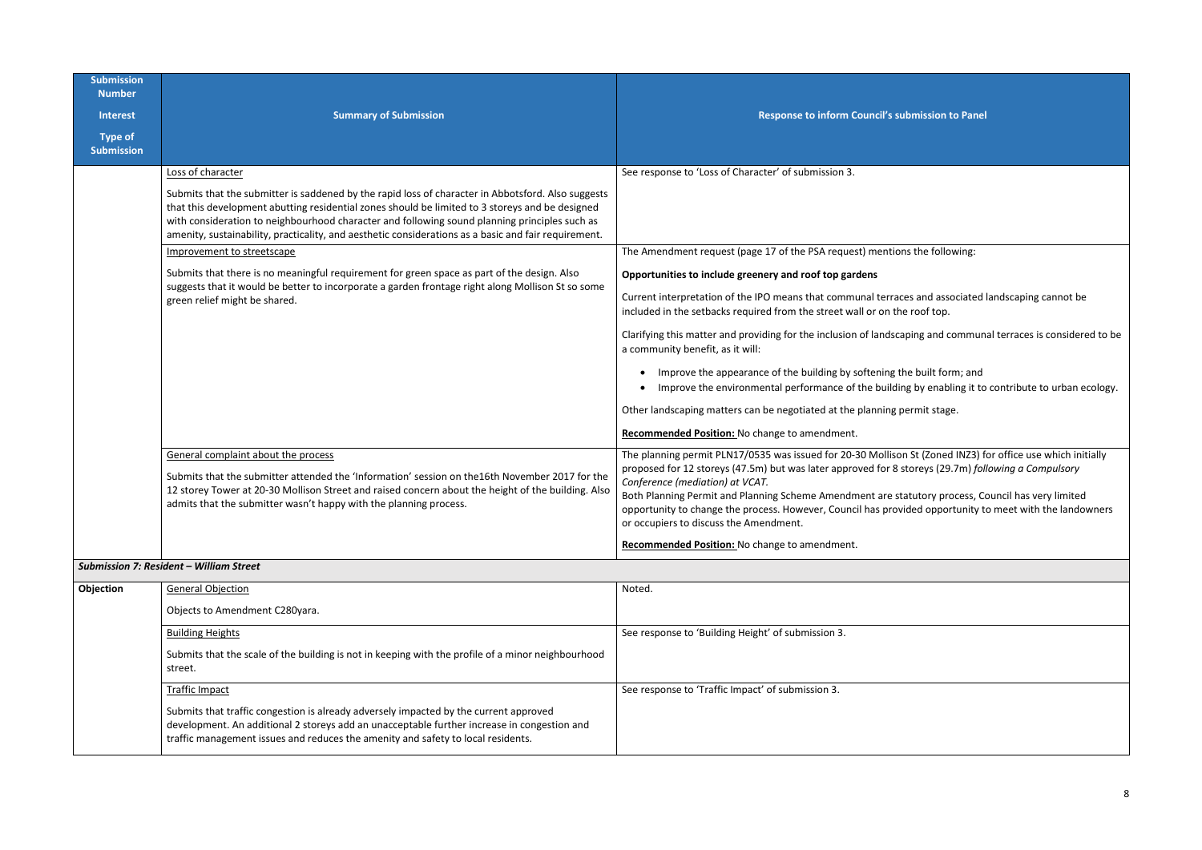I St (Zoned INZ3) for office use which initially proposed for 12 storeys (47.5m) but was later approved for 8 storeys (29.7m) *following a Compulsory* 

atutory process, Council has very limited ided opportunity to meet with the landowners

| <b>Submission</b><br><b>Number</b>  |                                                                                                                                                                                                                                                                                                                                                                                                                |                                                                                                                                                                                                                                                                                                                                              |
|-------------------------------------|----------------------------------------------------------------------------------------------------------------------------------------------------------------------------------------------------------------------------------------------------------------------------------------------------------------------------------------------------------------------------------------------------------------|----------------------------------------------------------------------------------------------------------------------------------------------------------------------------------------------------------------------------------------------------------------------------------------------------------------------------------------------|
| <b>Interest</b>                     | <b>Summary of Submission</b>                                                                                                                                                                                                                                                                                                                                                                                   | Response to inform Council's sul                                                                                                                                                                                                                                                                                                             |
| <b>Type of</b><br><b>Submission</b> |                                                                                                                                                                                                                                                                                                                                                                                                                |                                                                                                                                                                                                                                                                                                                                              |
|                                     | Loss of character                                                                                                                                                                                                                                                                                                                                                                                              | See response to 'Loss of Character' of submission 3.                                                                                                                                                                                                                                                                                         |
|                                     | Submits that the submitter is saddened by the rapid loss of character in Abbotsford. Also suggests<br>that this development abutting residential zones should be limited to 3 storeys and be designed<br>with consideration to neighbourhood character and following sound planning principles such as<br>amenity, sustainability, practicality, and aesthetic considerations as a basic and fair requirement. |                                                                                                                                                                                                                                                                                                                                              |
|                                     | Improvement to streetscape                                                                                                                                                                                                                                                                                                                                                                                     | The Amendment request (page 17 of the PSA request) mention                                                                                                                                                                                                                                                                                   |
|                                     | Submits that there is no meaningful requirement for green space as part of the design. Also                                                                                                                                                                                                                                                                                                                    | Opportunities to include greenery and roof top gardens                                                                                                                                                                                                                                                                                       |
|                                     | suggests that it would be better to incorporate a garden frontage right along Mollison St so some<br>green relief might be shared.                                                                                                                                                                                                                                                                             | Current interpretation of the IPO means that communal terrace<br>included in the setbacks required from the street wall or on the                                                                                                                                                                                                            |
|                                     |                                                                                                                                                                                                                                                                                                                                                                                                                | Clarifying this matter and providing for the inclusion of landscap<br>a community benefit, as it will:                                                                                                                                                                                                                                       |
|                                     |                                                                                                                                                                                                                                                                                                                                                                                                                | Improve the appearance of the building by softening th<br>Improve the environmental performance of the building                                                                                                                                                                                                                              |
|                                     |                                                                                                                                                                                                                                                                                                                                                                                                                | Other landscaping matters can be negotiated at the planning pe                                                                                                                                                                                                                                                                               |
|                                     |                                                                                                                                                                                                                                                                                                                                                                                                                | Recommended Position: No change to amendment.                                                                                                                                                                                                                                                                                                |
|                                     | General complaint about the process<br>Submits that the submitter attended the 'Information' session on the 16th November 2017 for the<br>12 storey Tower at 20-30 Mollison Street and raised concern about the height of the building. Also<br>admits that the submitter wasn't happy with the planning process.                                                                                              | The planning permit PLN17/0535 was issued for 20-30 Mollison<br>proposed for 12 storeys (47.5m) but was later approved for 8 st<br>Conference (mediation) at VCAT.<br>Both Planning Permit and Planning Scheme Amendment are sta<br>opportunity to change the process. However, Council has provid<br>or occupiers to discuss the Amendment. |
|                                     |                                                                                                                                                                                                                                                                                                                                                                                                                | Recommended Position: No change to amendment.                                                                                                                                                                                                                                                                                                |
|                                     | Submission 7: Resident - William Street                                                                                                                                                                                                                                                                                                                                                                        |                                                                                                                                                                                                                                                                                                                                              |
| Objection                           | <b>General Objection</b>                                                                                                                                                                                                                                                                                                                                                                                       | Noted.                                                                                                                                                                                                                                                                                                                                       |
|                                     | Objects to Amendment C280yara.                                                                                                                                                                                                                                                                                                                                                                                 |                                                                                                                                                                                                                                                                                                                                              |
|                                     | <b>Building Heights</b>                                                                                                                                                                                                                                                                                                                                                                                        | See response to 'Building Height' of submission 3.                                                                                                                                                                                                                                                                                           |
|                                     | Submits that the scale of the building is not in keeping with the profile of a minor neighbourhood<br>street.                                                                                                                                                                                                                                                                                                  |                                                                                                                                                                                                                                                                                                                                              |
|                                     | <b>Traffic Impact</b>                                                                                                                                                                                                                                                                                                                                                                                          | See response to 'Traffic Impact' of submission 3.                                                                                                                                                                                                                                                                                            |
|                                     | Submits that traffic congestion is already adversely impacted by the current approved<br>development. An additional 2 storeys add an unacceptable further increase in congestion and<br>traffic management issues and reduces the amenity and safety to local residents.                                                                                                                                       |                                                                                                                                                                                                                                                                                                                                              |

## **Sumission to Panel**

ms the following:

es and associated landscaping cannot be incof top.

aping and communal terraces is considered to be

he built form; and ng by enabling it to contribute to urban ecology.

ermit stage.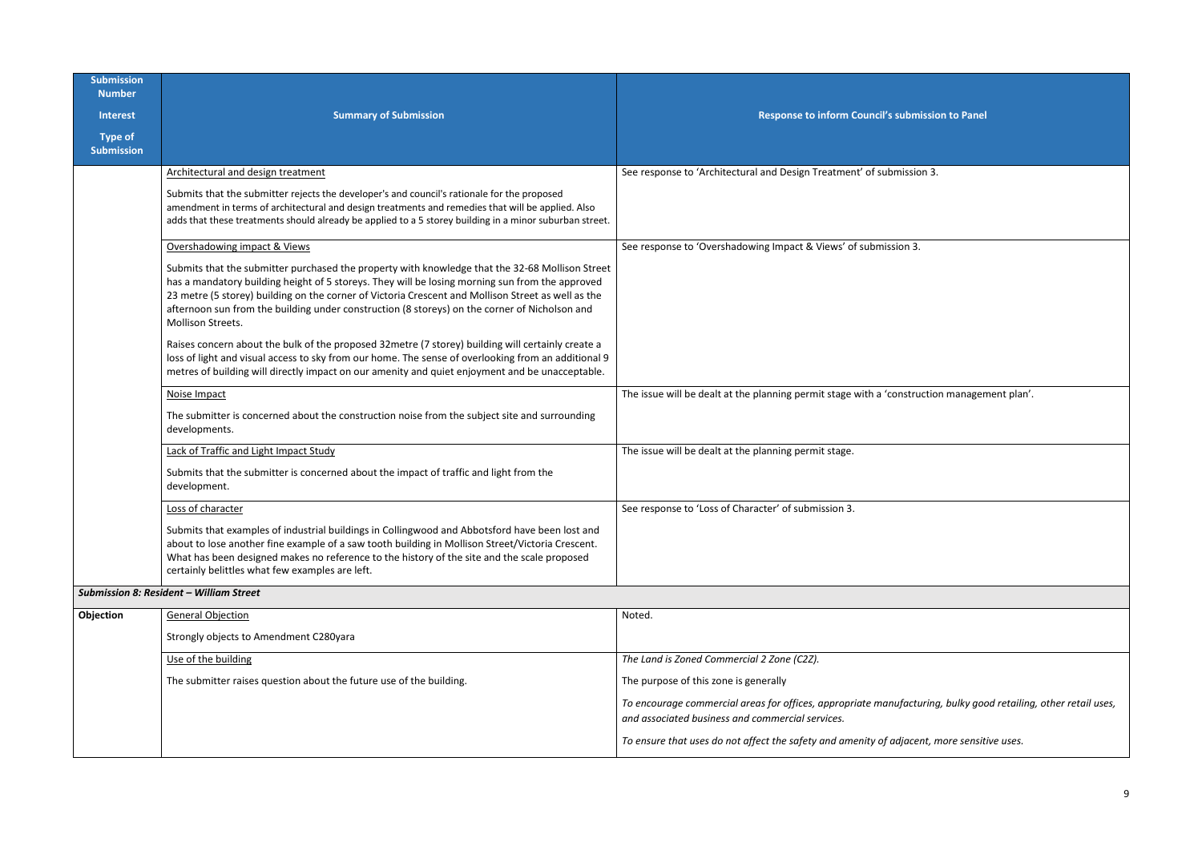| <b>Submission</b><br><b>Number</b>  |                                                                                                                                                                                                                                                                                                                                                                                                                                       |                                                                                                                                        |
|-------------------------------------|---------------------------------------------------------------------------------------------------------------------------------------------------------------------------------------------------------------------------------------------------------------------------------------------------------------------------------------------------------------------------------------------------------------------------------------|----------------------------------------------------------------------------------------------------------------------------------------|
| <b>Interest</b>                     | <b>Summary of Submission</b>                                                                                                                                                                                                                                                                                                                                                                                                          | Response to inform Council's submission to Panel                                                                                       |
| <b>Type of</b><br><b>Submission</b> |                                                                                                                                                                                                                                                                                                                                                                                                                                       |                                                                                                                                        |
|                                     | Architectural and design treatment                                                                                                                                                                                                                                                                                                                                                                                                    | See response to 'Architectural and Design Treatment' of submission 3.                                                                  |
|                                     | Submits that the submitter rejects the developer's and council's rationale for the proposed<br>amendment in terms of architectural and design treatments and remedies that will be applied. Also<br>adds that these treatments should already be applied to a 5 storey building in a minor suburban street.                                                                                                                           |                                                                                                                                        |
|                                     | Overshadowing impact & Views                                                                                                                                                                                                                                                                                                                                                                                                          | See response to 'Overshadowing Impact & Views' of submission 3.                                                                        |
|                                     | Submits that the submitter purchased the property with knowledge that the 32-68 Mollison Street<br>has a mandatory building height of 5 storeys. They will be losing morning sun from the approved<br>23 metre (5 storey) building on the corner of Victoria Crescent and Mollison Street as well as the<br>afternoon sun from the building under construction (8 storeys) on the corner of Nicholson and<br><b>Mollison Streets.</b> |                                                                                                                                        |
|                                     | Raises concern about the bulk of the proposed 32metre (7 storey) building will certainly create a<br>loss of light and visual access to sky from our home. The sense of overlooking from an additional 9<br>metres of building will directly impact on our amenity and quiet enjoyment and be unacceptable.                                                                                                                           |                                                                                                                                        |
|                                     | Noise Impact                                                                                                                                                                                                                                                                                                                                                                                                                          | The issue will be dealt at the planning permit stage with a 'construction managemen                                                    |
|                                     | The submitter is concerned about the construction noise from the subject site and surrounding<br>developments.                                                                                                                                                                                                                                                                                                                        |                                                                                                                                        |
|                                     | Lack of Traffic and Light Impact Study                                                                                                                                                                                                                                                                                                                                                                                                | The issue will be dealt at the planning permit stage.                                                                                  |
|                                     | Submits that the submitter is concerned about the impact of traffic and light from the<br>development.                                                                                                                                                                                                                                                                                                                                |                                                                                                                                        |
|                                     | Loss of character                                                                                                                                                                                                                                                                                                                                                                                                                     | See response to 'Loss of Character' of submission 3.                                                                                   |
|                                     | Submits that examples of industrial buildings in Collingwood and Abbotsford have been lost and<br>about to lose another fine example of a saw tooth building in Mollison Street/Victoria Crescent.<br>What has been designed makes no reference to the history of the site and the scale proposed<br>certainly belittles what few examples are left.                                                                                  |                                                                                                                                        |
|                                     | <b>Submission 8: Resident - William Street</b>                                                                                                                                                                                                                                                                                                                                                                                        |                                                                                                                                        |
| Objection                           | <b>General Objection</b>                                                                                                                                                                                                                                                                                                                                                                                                              | Noted.                                                                                                                                 |
|                                     | Strongly objects to Amendment C280yara                                                                                                                                                                                                                                                                                                                                                                                                |                                                                                                                                        |
|                                     | Use of the building                                                                                                                                                                                                                                                                                                                                                                                                                   | The Land is Zoned Commercial 2 Zone (C2Z).                                                                                             |
|                                     | The submitter raises question about the future use of the building.                                                                                                                                                                                                                                                                                                                                                                   | The purpose of this zone is generally                                                                                                  |
|                                     |                                                                                                                                                                                                                                                                                                                                                                                                                                       | To encourage commercial areas for offices, appropriate manufacturing, bulky good r<br>and associated business and commercial services. |
|                                     |                                                                                                                                                                                                                                                                                                                                                                                                                                       | To ensure that uses do not affect the safety and amenity of adjacent, more sensitive                                                   |

| submission to Panel                                  |
|------------------------------------------------------|
| mission 3.                                           |
|                                                      |
|                                                      |
| $\sin 3$ .                                           |
|                                                      |
|                                                      |
|                                                      |
|                                                      |
|                                                      |
| onstruction management plan'.                        |
|                                                      |
|                                                      |
|                                                      |
|                                                      |
|                                                      |
|                                                      |
|                                                      |
|                                                      |
|                                                      |
|                                                      |
|                                                      |
|                                                      |
| ufacturing, bulky good retailing, other retail uses, |
| djacent, more sensitive uses.                        |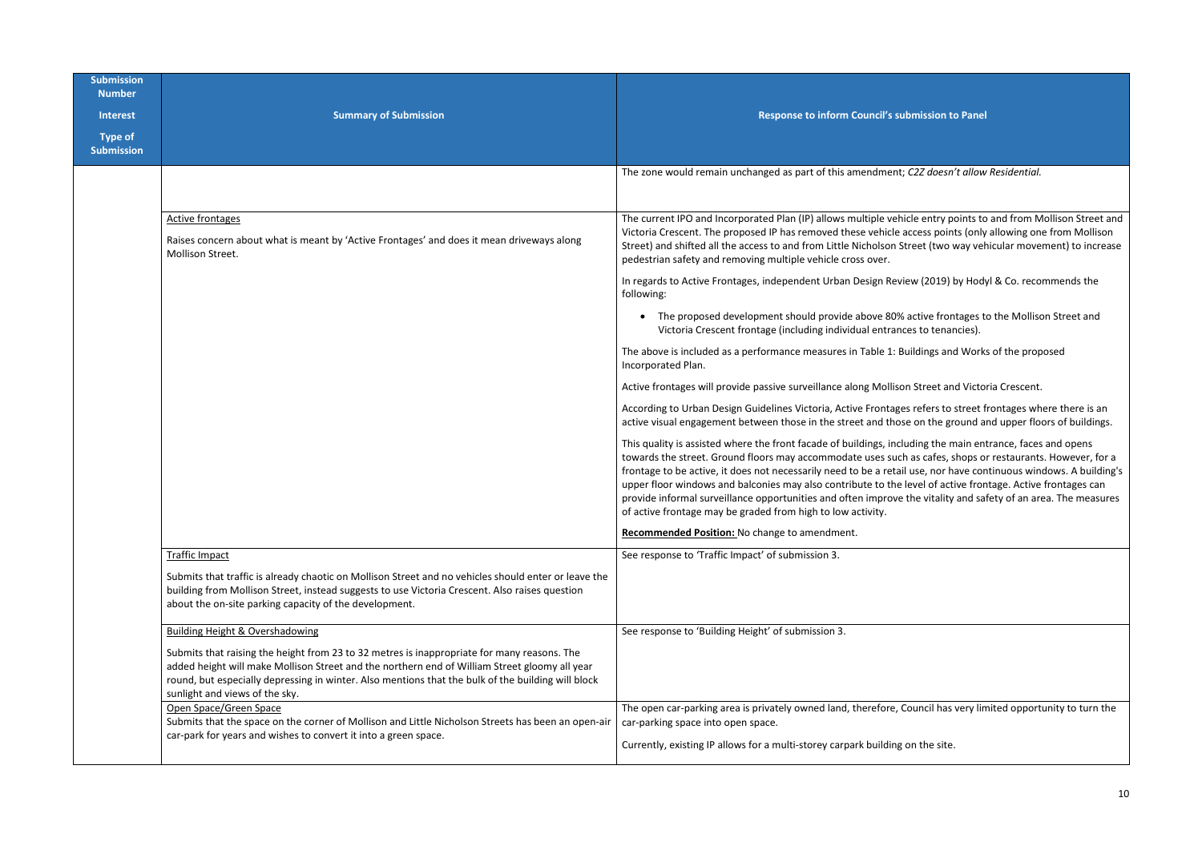| <b>Submission</b><br><b>Number</b>  |                                                                                                                                                                                                                                                                                                                                      |                                                                                                                                                                                                                                                                                                                                                                                                            |
|-------------------------------------|--------------------------------------------------------------------------------------------------------------------------------------------------------------------------------------------------------------------------------------------------------------------------------------------------------------------------------------|------------------------------------------------------------------------------------------------------------------------------------------------------------------------------------------------------------------------------------------------------------------------------------------------------------------------------------------------------------------------------------------------------------|
| <b>Interest</b>                     | <b>Summary of Submission</b>                                                                                                                                                                                                                                                                                                         | Response to inform Council's sul                                                                                                                                                                                                                                                                                                                                                                           |
| <b>Type of</b><br><b>Submission</b> |                                                                                                                                                                                                                                                                                                                                      |                                                                                                                                                                                                                                                                                                                                                                                                            |
|                                     |                                                                                                                                                                                                                                                                                                                                      | The zone would remain unchanged as part of this amendment;                                                                                                                                                                                                                                                                                                                                                 |
|                                     | <b>Active frontages</b><br>Raises concern about what is meant by 'Active Frontages' and does it mean driveways along<br>Mollison Street.                                                                                                                                                                                             | The current IPO and Incorporated Plan (IP) allows multiple vehi-<br>Victoria Crescent. The proposed IP has removed these vehicle a<br>Street) and shifted all the access to and from Little Nicholson St<br>pedestrian safety and removing multiple vehicle cross over.                                                                                                                                    |
|                                     |                                                                                                                                                                                                                                                                                                                                      | In regards to Active Frontages, independent Urban Design Revie<br>following:                                                                                                                                                                                                                                                                                                                               |
|                                     |                                                                                                                                                                                                                                                                                                                                      | The proposed development should provide above 80%<br>Victoria Crescent frontage (including individual entranc                                                                                                                                                                                                                                                                                              |
|                                     |                                                                                                                                                                                                                                                                                                                                      | The above is included as a performance measures in Table 1: Bu<br>Incorporated Plan.                                                                                                                                                                                                                                                                                                                       |
|                                     |                                                                                                                                                                                                                                                                                                                                      | Active frontages will provide passive surveillance along Mollisor                                                                                                                                                                                                                                                                                                                                          |
|                                     |                                                                                                                                                                                                                                                                                                                                      | According to Urban Design Guidelines Victoria, Active Frontage<br>active visual engagement between those in the street and those                                                                                                                                                                                                                                                                           |
|                                     |                                                                                                                                                                                                                                                                                                                                      | This quality is assisted where the front facade of buildings, inclu<br>towards the street. Ground floors may accommodate uses such<br>frontage to be active, it does not necessarily need to be a retail<br>upper floor windows and balconies may also contribute to the I<br>provide informal surveillance opportunities and often improve<br>of active frontage may be graded from high to low activity. |
|                                     |                                                                                                                                                                                                                                                                                                                                      | Recommended Position: No change to amendment.                                                                                                                                                                                                                                                                                                                                                              |
|                                     | <b>Traffic Impact</b>                                                                                                                                                                                                                                                                                                                | See response to 'Traffic Impact' of submission 3.                                                                                                                                                                                                                                                                                                                                                          |
|                                     | Submits that traffic is already chaotic on Mollison Street and no vehicles should enter or leave the<br>building from Mollison Street, instead suggests to use Victoria Crescent. Also raises question<br>about the on-site parking capacity of the development.                                                                     |                                                                                                                                                                                                                                                                                                                                                                                                            |
|                                     | Building Height & Overshadowing                                                                                                                                                                                                                                                                                                      | See response to 'Building Height' of submission 3.                                                                                                                                                                                                                                                                                                                                                         |
|                                     | Submits that raising the height from 23 to 32 metres is inappropriate for many reasons. The<br>added height will make Mollison Street and the northern end of William Street gloomy all year<br>round, but especially depressing in winter. Also mentions that the bulk of the building will block<br>sunlight and views of the sky. |                                                                                                                                                                                                                                                                                                                                                                                                            |
|                                     | Open Space/Green Space<br>Submits that the space on the corner of Mollison and Little Nicholson Streets has been an open-air                                                                                                                                                                                                         | The open car-parking area is privately owned land, therefore, C<br>car-parking space into open space.                                                                                                                                                                                                                                                                                                      |
|                                     | car-park for years and wishes to convert it into a green space.                                                                                                                                                                                                                                                                      | Currently, existing IP allows for a multi-storey carpark building                                                                                                                                                                                                                                                                                                                                          |

**Ibmission to Panel** 

The Zone world *allow Residential*.

icle entry points to and from Mollison Street and access points (only allowing one from Mollison Itreet (two way vehicular movement) to increase

Iew (2019) by Hodyl & Co. recommends the

 $\overline{b}$  active frontages to the Mollison Street and ces to tenancies).

uildings and Works of the proposed

on Street and Victoria Crescent.

es refers to street frontages where there is an se on the ground and upper floors of buildings.

uding the main entrance, faces and opens as cafes, shops or restaurants. However, for a I use, nor have continuous windows. A building's level of active frontage. Active frontages can the vitality and safety of an area. The measures

Council has very limited opportunity to turn the

on the site.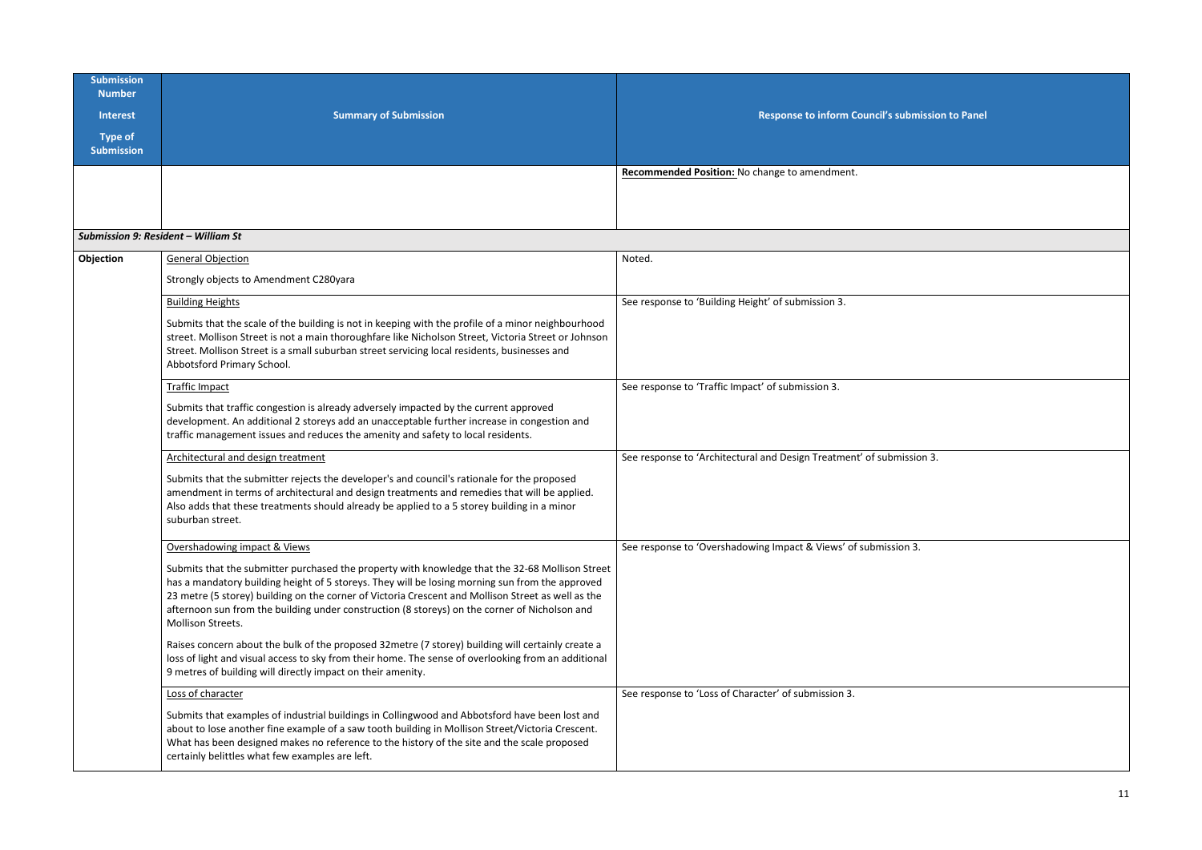| <b>Submission</b><br><b>Number</b><br><b>Interest</b><br><b>Type of</b><br><b>Submission</b> | <b>Summary of Submission</b>                                                                                                                                                                                                                                                                                                                                                                                                                                                                                                                                                                                                                                                                                                              | Response to inform Council's submission to Panel                      |
|----------------------------------------------------------------------------------------------|-------------------------------------------------------------------------------------------------------------------------------------------------------------------------------------------------------------------------------------------------------------------------------------------------------------------------------------------------------------------------------------------------------------------------------------------------------------------------------------------------------------------------------------------------------------------------------------------------------------------------------------------------------------------------------------------------------------------------------------------|-----------------------------------------------------------------------|
|                                                                                              |                                                                                                                                                                                                                                                                                                                                                                                                                                                                                                                                                                                                                                                                                                                                           | Recommended Position: No change to amendment.                         |
| Submission 9: Resident - William St                                                          |                                                                                                                                                                                                                                                                                                                                                                                                                                                                                                                                                                                                                                                                                                                                           |                                                                       |
| Objection                                                                                    | General Objection<br>Strongly objects to Amendment C280yara                                                                                                                                                                                                                                                                                                                                                                                                                                                                                                                                                                                                                                                                               | Noted.                                                                |
|                                                                                              | <b>Building Heights</b><br>Submits that the scale of the building is not in keeping with the profile of a minor neighbourhood<br>street. Mollison Street is not a main thoroughfare like Nicholson Street, Victoria Street or Johnson<br>Street. Mollison Street is a small suburban street servicing local residents, businesses and<br>Abbotsford Primary School.                                                                                                                                                                                                                                                                                                                                                                       | See response to 'Building Height' of submission 3.                    |
|                                                                                              | <b>Traffic Impact</b><br>Submits that traffic congestion is already adversely impacted by the current approved<br>development. An additional 2 storeys add an unacceptable further increase in congestion and<br>traffic management issues and reduces the amenity and safety to local residents.                                                                                                                                                                                                                                                                                                                                                                                                                                         | See response to 'Traffic Impact' of submission 3.                     |
|                                                                                              | Architectural and design treatment<br>Submits that the submitter rejects the developer's and council's rationale for the proposed<br>amendment in terms of architectural and design treatments and remedies that will be applied.<br>Also adds that these treatments should already be applied to a 5 storey building in a minor<br>suburban street.                                                                                                                                                                                                                                                                                                                                                                                      | See response to 'Architectural and Design Treatment' of submission 3. |
|                                                                                              | Overshadowing impact & Views<br>Submits that the submitter purchased the property with knowledge that the 32-68 Mollison Street<br>has a mandatory building height of 5 storeys. They will be losing morning sun from the approved<br>23 metre (5 storey) building on the corner of Victoria Crescent and Mollison Street as well as the<br>afternoon sun from the building under construction (8 storeys) on the corner of Nicholson and<br>Mollison Streets.<br>Raises concern about the bulk of the proposed 32metre (7 storey) building will certainly create a<br>loss of light and visual access to sky from their home. The sense of overlooking from an additional<br>9 metres of building will directly impact on their amenity. | See response to 'Overshadowing Impact & Views' of submission 3.       |
|                                                                                              | Loss of character<br>Submits that examples of industrial buildings in Collingwood and Abbotsford have been lost and<br>about to lose another fine example of a saw tooth building in Mollison Street/Victoria Crescent.<br>What has been designed makes no reference to the history of the site and the scale proposed<br>certainly belittles what few examples are left.                                                                                                                                                                                                                                                                                                                                                                 | See response to 'Loss of Character' of submission 3.                  |

| <b>Imission to Panel</b> |  |  |  |  |
|--------------------------|--|--|--|--|
|                          |  |  |  |  |
|                          |  |  |  |  |
|                          |  |  |  |  |
|                          |  |  |  |  |
|                          |  |  |  |  |
|                          |  |  |  |  |
|                          |  |  |  |  |
|                          |  |  |  |  |
| $sion3$ .                |  |  |  |  |
|                          |  |  |  |  |
| $\overline{3}$ .         |  |  |  |  |
|                          |  |  |  |  |
|                          |  |  |  |  |
|                          |  |  |  |  |
|                          |  |  |  |  |
|                          |  |  |  |  |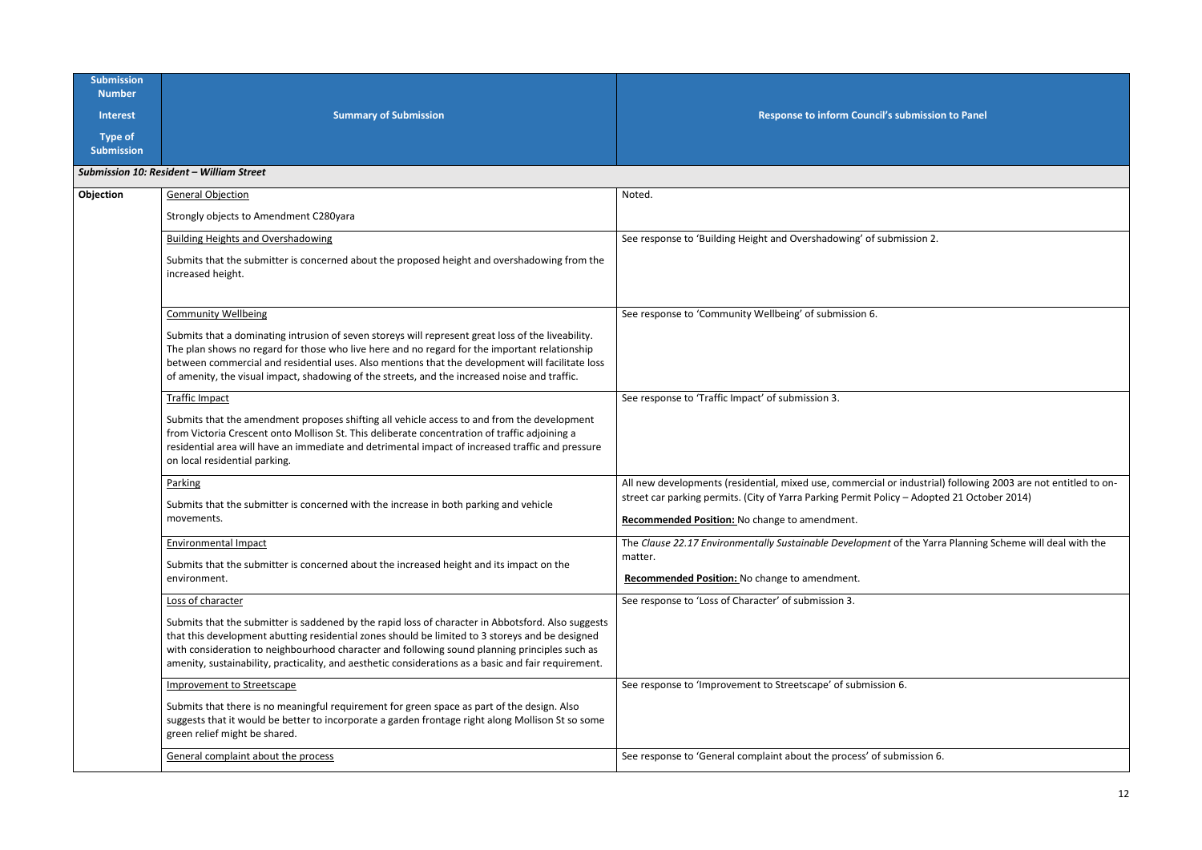| <b>Submission</b><br><b>Number</b>  |                                                                                                                                                                                                                                                                                                                                                                                                                |                                                                                                                     |
|-------------------------------------|----------------------------------------------------------------------------------------------------------------------------------------------------------------------------------------------------------------------------------------------------------------------------------------------------------------------------------------------------------------------------------------------------------------|---------------------------------------------------------------------------------------------------------------------|
| <b>Interest</b>                     | <b>Summary of Submission</b>                                                                                                                                                                                                                                                                                                                                                                                   | Response to inform Council's submission to Panel                                                                    |
| <b>Type of</b><br><b>Submission</b> |                                                                                                                                                                                                                                                                                                                                                                                                                |                                                                                                                     |
|                                     | Submission 10: Resident - William Street                                                                                                                                                                                                                                                                                                                                                                       |                                                                                                                     |
| Objection                           | <b>General Objection</b>                                                                                                                                                                                                                                                                                                                                                                                       | Noted.                                                                                                              |
|                                     | Strongly objects to Amendment C280yara                                                                                                                                                                                                                                                                                                                                                                         |                                                                                                                     |
|                                     | <b>Building Heights and Overshadowing</b>                                                                                                                                                                                                                                                                                                                                                                      | See response to 'Building Height and Overshadowing' of submission 2.                                                |
|                                     | Submits that the submitter is concerned about the proposed height and overshadowing from the<br>increased height.                                                                                                                                                                                                                                                                                              |                                                                                                                     |
|                                     | <b>Community Wellbeing</b>                                                                                                                                                                                                                                                                                                                                                                                     | See response to 'Community Wellbeing' of submission 6.                                                              |
|                                     | Submits that a dominating intrusion of seven storeys will represent great loss of the liveability.<br>The plan shows no regard for those who live here and no regard for the important relationship<br>between commercial and residential uses. Also mentions that the development will facilitate loss<br>of amenity, the visual impact, shadowing of the streets, and the increased noise and traffic.       |                                                                                                                     |
|                                     | <b>Traffic Impact</b>                                                                                                                                                                                                                                                                                                                                                                                          | See response to 'Traffic Impact' of submission 3.                                                                   |
|                                     | Submits that the amendment proposes shifting all vehicle access to and from the development<br>from Victoria Crescent onto Mollison St. This deliberate concentration of traffic adjoining a<br>residential area will have an immediate and detrimental impact of increased traffic and pressure<br>on local residential parking.                                                                              |                                                                                                                     |
|                                     | Parking                                                                                                                                                                                                                                                                                                                                                                                                        | All new developments (residential, mixed use, commercial or industrial) following 2003 are not entitled to on-      |
|                                     | Submits that the submitter is concerned with the increase in both parking and vehicle                                                                                                                                                                                                                                                                                                                          | street car parking permits. (City of Yarra Parking Permit Policy - Adopted 21 October 2014)                         |
|                                     | movements.                                                                                                                                                                                                                                                                                                                                                                                                     | Recommended Position: No change to amendment.                                                                       |
|                                     | <b>Environmental Impact</b>                                                                                                                                                                                                                                                                                                                                                                                    | The Clause 22.17 Environmentally Sustainable Development of the Yarra Planning Scheme will deal with the<br>matter. |
|                                     | Submits that the submitter is concerned about the increased height and its impact on the<br>environment.                                                                                                                                                                                                                                                                                                       | Recommended Position: No change to amendment.                                                                       |
|                                     | Loss of character                                                                                                                                                                                                                                                                                                                                                                                              | See response to 'Loss of Character' of submission 3.                                                                |
|                                     | Submits that the submitter is saddened by the rapid loss of character in Abbotsford. Also suggests<br>that this development abutting residential zones should be limited to 3 storeys and be designed<br>with consideration to neighbourhood character and following sound planning principles such as<br>amenity, sustainability, practicality, and aesthetic considerations as a basic and fair requirement. |                                                                                                                     |
|                                     | <b>Improvement to Streetscape</b>                                                                                                                                                                                                                                                                                                                                                                              | See response to 'Improvement to Streetscape' of submission 6.                                                       |
|                                     | Submits that there is no meaningful requirement for green space as part of the design. Also<br>suggests that it would be better to incorporate a garden frontage right along Mollison St so some<br>green relief might be shared.                                                                                                                                                                              |                                                                                                                     |
|                                     | General complaint about the process                                                                                                                                                                                                                                                                                                                                                                            | See response to 'General complaint about the process' of submission 6.                                              |

| ubmission to Panel                                                              |
|---------------------------------------------------------------------------------|
|                                                                                 |
|                                                                                 |
| ission 2.                                                                       |
|                                                                                 |
|                                                                                 |
| ndustrial) following 2003 are not entitled to on-<br>- Adopted 21 October 2014) |
| the Yarra Planning Scheme will deal with the                                    |
|                                                                                 |
| $\overline{\mathbf{5}}$ .                                                       |
| nission 6.                                                                      |